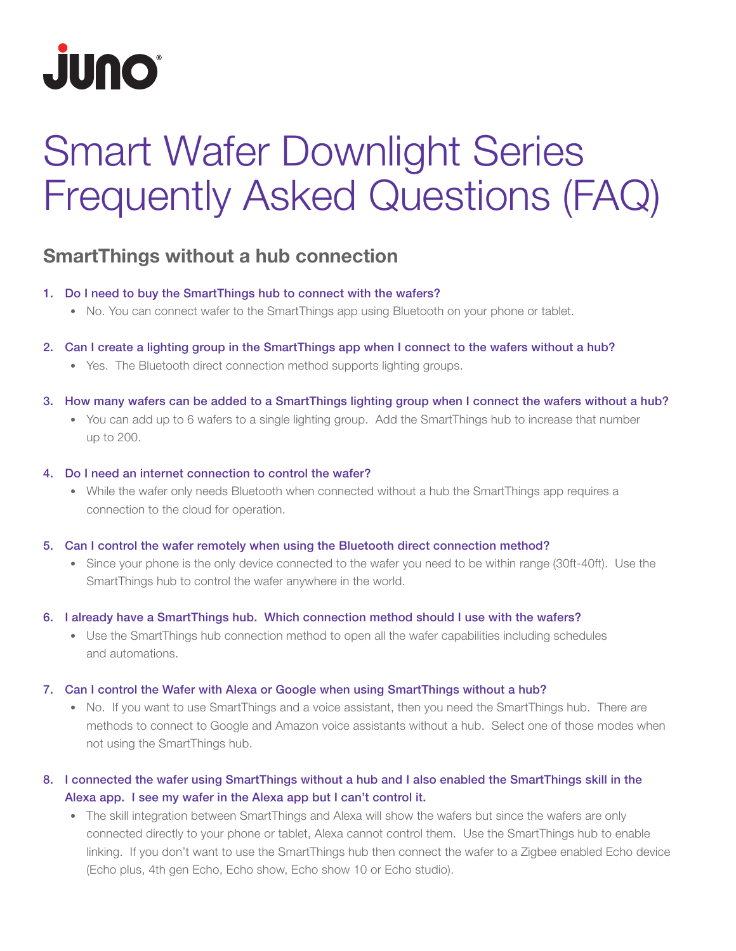

# Smart Wafer Downlight Series Frequently Asked Questions (FAQ)

# SmartThings without a hub connection

- 1. Do I need to buy the SmartThings hub to connect with the wafers?
	- No. You can connect wafer to the SmartThings app using Bluetooth on your phone or tablet.
- 2. Can I create a lighting group in the SmartThings app when I connect to the wafers without a hub?
	- Yes. The Bluetooth direct connection method supports lighting groups.
- 3. How many wafers can be added to a SmartThings lighting group when I connect the wafers without a hub?
	- You can add up to 6 wafers to a single lighting group. Add the SmartThings hub to increase that number up to 200.
- 4. Do I need an internet connection to control the wafer?
	- While the wafer only needs Bluetooth when connected without a hub the SmartThings app requires a connection to the cloud for operation.
- 5. Can I control the wafer remotely when using the Bluetooth direct connection method?
	- Since your phone is the only device connected to the wafer you need to be within range (30ft-40ft). Use the SmartThings hub to control the wafer anywhere in the world.
- 6. I already have a SmartThings hub. Which connection method should I use with the wafers?
	- Use the SmartThings hub connection method to open all the wafer capabilities including schedules and automations.
- 7. Can I control the Wafer with Alexa or Google when using SmartThings without a hub?
	- No. If you want to use SmartThings and a voice assistant, then you need the SmartThings hub. There are methods to connect to Google and Amazon voice assistants without a hub. Select one of those modes when not using the SmartThings hub.
- 8. I connected the wafer using SmartThings without a hub and I also enabled the SmartThings skill in the Alexa app. I see my wafer in the Alexa app but I can't control it.
	- The skill integration between SmartThings and Alexa will show the wafers but since the wafers are only connected directly to your phone or tablet, Alexa cannot control them. Use the SmartThings hub to enable linking. If you don't want to use the SmartThings hub then connect the wafer to a Zigbee enabled Echo device (Echo plus, 4th gen Echo, Echo show, Echo show 10 or Echo studio).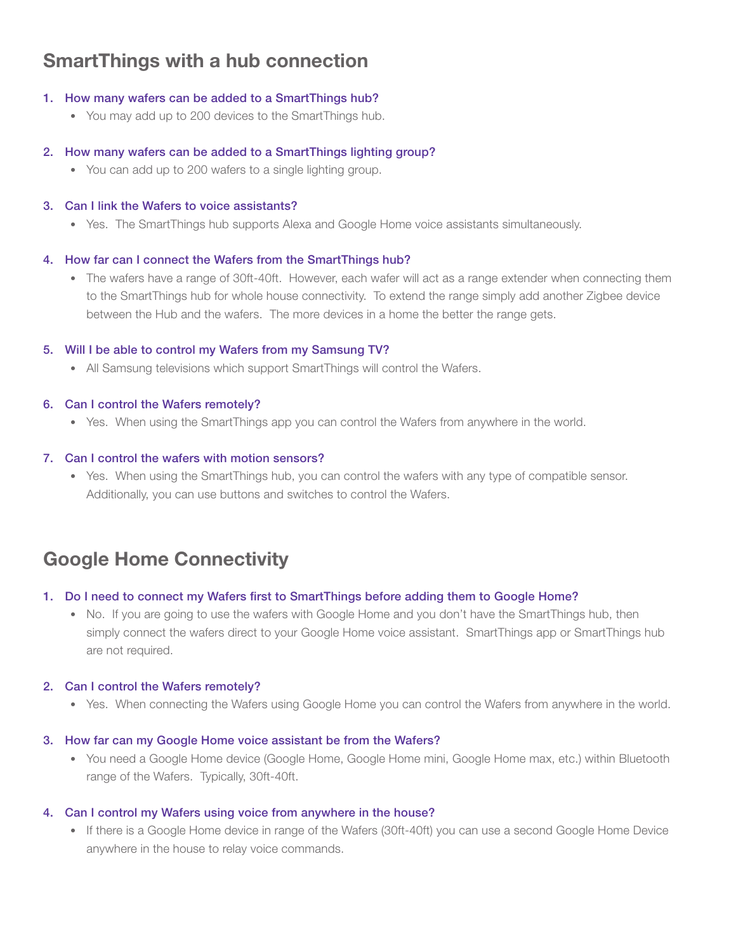# SmartThings with a hub connection

## 1. How many wafers can be added to a SmartThings hub?

• You may add up to 200 devices to the SmartThings hub.

## 2. How many wafers can be added to a SmartThings lighting group?

• You can add up to 200 wafers to a single lighting group.

## 3. Can I link the Wafers to voice assistants?

• Yes. The SmartThings hub supports Alexa and Google Home voice assistants simultaneously.

## 4. How far can I connect the Wafers from the SmartThings hub?

• The wafers have a range of 30ft-40ft. However, each wafer will act as a range extender when connecting them to the SmartThings hub for whole house connectivity. To extend the range simply add another Zigbee device between the Hub and the wafers. The more devices in a home the better the range gets.

## 5. Will I be able to control my Wafers from my Samsung TV?

• All Samsung televisions which support SmartThings will control the Wafers.

## 6. Can I control the Wafers remotely?

• Yes. When using the SmartThings app you can control the Wafers from anywhere in the world.

## 7. Can I control the wafers with motion sensors?

• Yes. When using the SmartThings hub, you can control the wafers with any type of compatible sensor. Additionally, you can use buttons and switches to control the Wafers.

# Google Home Connectivity

## 1. Do I need to connect my Wafers first to SmartThings before adding them to Google Home?

• No. If you are going to use the wafers with Google Home and you don't have the SmartThings hub, then simply connect the wafers direct to your Google Home voice assistant. SmartThings app or SmartThings hub are not required.

## 2. Can I control the Wafers remotely?

• Yes. When connecting the Wafers using Google Home you can control the Wafers from anywhere in the world.

## 3. How far can my Google Home voice assistant be from the Wafers?

• You need a Google Home device (Google Home, Google Home mini, Google Home max, etc.) within Bluetooth range of the Wafers. Typically, 30ft-40ft.

## 4. Can I control my Wafers using voice from anywhere in the house?

• If there is a Google Home device in range of the Wafers (30ft-40ft) you can use a second Google Home Device anywhere in the house to relay voice commands.